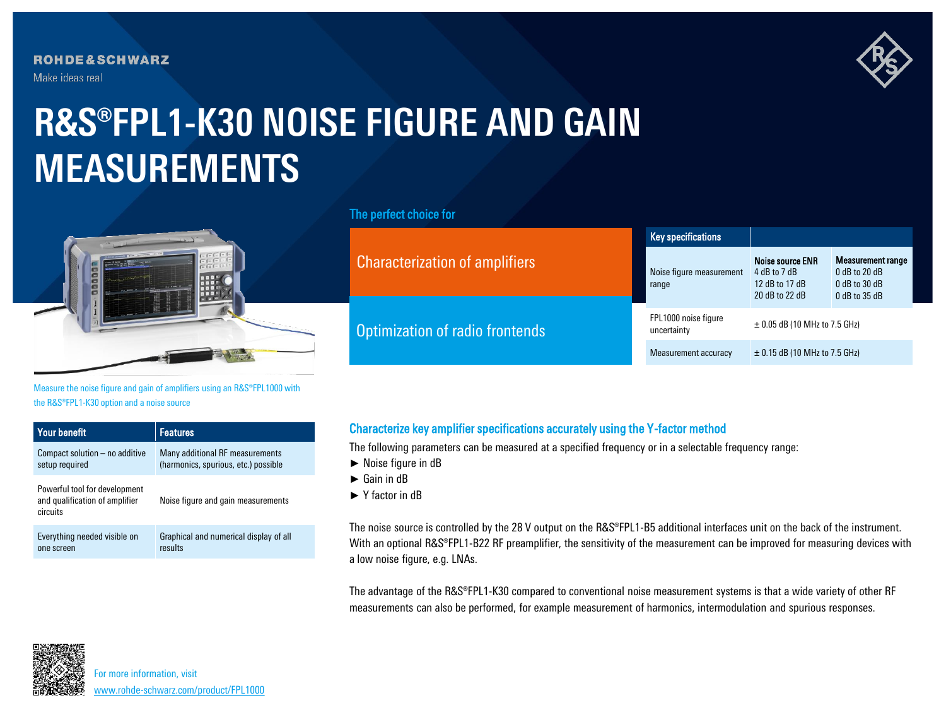**ROHDE&SCHWARZ** Make ideas real



## **R&S®FPL1-K30 NOISE FIGURE AND GAIN MEASUREMENTS**



Measure the noise figure and gain of amplifiers using an R&S®FPL1000 with the R&S®FPL1-K30 option and a noise source

| <b>Your benefit</b>                                                         | <b>Features</b>                        |
|-----------------------------------------------------------------------------|----------------------------------------|
| Compact solution – no additive                                              | Many additional RF measurements        |
| setup required                                                              | (harmonics, spurious, etc.) possible   |
| Powerful tool for development<br>and qualification of amplifier<br>circuits | Noise figure and gain measurements     |
| Everything needed visible on                                                | Graphical and numerical display of all |
| one screen                                                                  | results                                |

## The perfect choice for

|                                       | <b>Key specifications</b>           |                                                                      |                                                                                   |  |
|---------------------------------------|-------------------------------------|----------------------------------------------------------------------|-----------------------------------------------------------------------------------|--|
| <b>Characterization of amplifiers</b> | Noise figure measurement<br>range   | Noise source ENR<br>4 dB to 7 dB<br>12 dB to 17 dB<br>20 dB to 22 dB | <b>Measurement range</b><br>$0$ dB to 20 dB<br>$0$ dB to 30 dB<br>$0$ dB to 35 dB |  |
| Optimization of radio frontends       | FPL1000 noise figure<br>uncertainty | $\pm$ 0.05 dB (10 MHz to 7.5 GHz)                                    |                                                                                   |  |
|                                       | Measurement accuracy                | $\pm$ 0.15 dB (10 MHz to 7.5 GHz)                                    |                                                                                   |  |

## Characterize key amplifier specifications accurately using the Y-factor method

The following parameters can be measured at a specified frequency or in a selectable frequency range:

- ► Noise figure in dB
- ► Gain in dB
- ► Y factor in dB

The noise source is controlled by the 28 V output on the R&S®FPL1-B5 additional interfaces unit on the back of the instrument. With an optional R&S®FPL1-B22 RF preamplifier, the sensitivity of the measurement can be improved for measuring devices with a low noise figure, e.g. LNAs.

The advantage of the R&S®FPL1-K30 compared to conventional noise measurement systems is that a wide variety of other RF measurements can also be performed, for example measurement of harmonics, intermodulation and spurious responses.



For more information, visit [www.rohde-schwarz.com/product/FPL1000](http://www.rohde-schwarz.com/product/fpl1000?cid=744_com_qr_190_Marcom_20-03_i__Factsheet_printmag_text-ad___Web_)